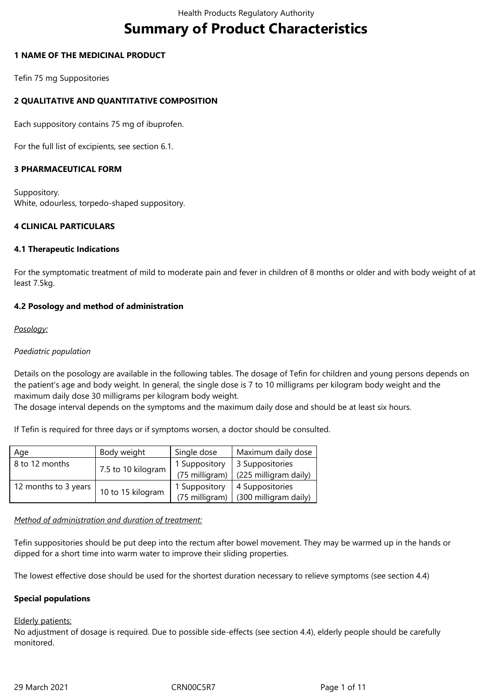# **Summary of Product Characteristics**

# **1 NAME OF THE MEDICINAL PRODUCT**

Tefin 75 mg Suppositories

# **2 QUALITATIVE AND QUANTITATIVE COMPOSITION**

Each suppository contains 75 mg of ibuprofen.

For the full list of excipients, see section 6.1.

# **3 PHARMACEUTICAL FORM**

Suppository. White, odourless, torpedo-shaped suppository.

# **4 CLINICAL PARTICULARS**

# **4.1 Therapeutic Indications**

For the symptomatic treatment of mild to moderate pain and fever in children of 8 months or older and with body weight of at least 7.5kg.

# **4.2 Posology and method of administration**

# *Posology:*

# *Paediatric population*

Details on the posology are available in the following tables. The dosage of Tefin for children and young persons depends on the patient's age and body weight. In general, the single dose is 7 to 10 milligrams per kilogram body weight and the maximum daily dose 30 milligrams per kilogram body weight.

The dosage interval depends on the symptoms and the maximum daily dose and should be at least six hours.

If Tefin is required for three days or if symptoms worsen, a doctor should be consulted.

| Age                  | Body weight        | Single dose    | Maximum daily dose    |
|----------------------|--------------------|----------------|-----------------------|
| 8 to 12 months       | 7.5 to 10 kilogram | 1 Suppository  | 3 Suppositories       |
|                      |                    | (75 milligram) | (225 milligram daily) |
| 12 months to 3 years | 10 to 15 kilogram  | 1 Suppository  | 4 Suppositories       |
|                      |                    | (75 milligram) | (300 milligram daily) |

#### *Method of administration and duration of treatment:*

Tefin suppositories should be put deep into the rectum after bowel movement. They may be warmed up in the hands or dipped for a short time into warm water to improve their sliding properties.

The lowest effective dose should be used for the shortest duration necessary to relieve symptoms (see section 4.4)

#### **Special populations**

#### Elderly patients:

No adjustment of dosage is required. Due to possible side-effects (see section 4.4), elderly people should be carefully monitored.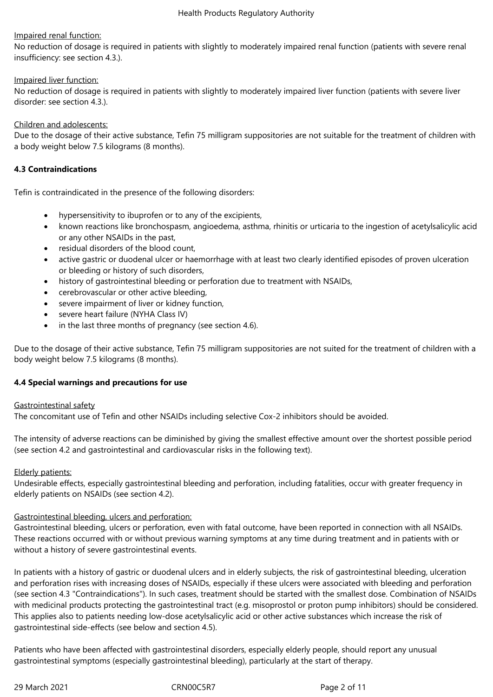# Impaired renal function:

No reduction of dosage is required in patients with slightly to moderately impaired renal function (patients with severe renal insufficiency: see section 4.3.).

## Impaired liver function:

No reduction of dosage is required in patients with slightly to moderately impaired liver function (patients with severe liver disorder: see section 4.3.).

# Children and adolescents:

Due to the dosage of their active substance, Tefin 75 milligram suppositories are not suitable for the treatment of children with a body weight below 7.5 kilograms (8 months).

# **4.3 Contraindications**

Tefin is contraindicated in the presence of the following disorders:

- hypersensitivity to ibuprofen or to any of the excipients,
- known reactions like bronchospasm, angioedema, asthma, rhinitis or urticaria to the ingestion of acetylsalicylic acid or any other NSAIDs in the past,
- residual disorders of the blood count,
- active gastric or duodenal ulcer or haemorrhage with at least two clearly identified episodes of proven ulceration or bleeding or history of such disorders,
- history of gastrointestinal bleeding or perforation due to treatment with NSAIDs,
- cerebrovascular or other active bleeding,
- severe impairment of liver or kidney function,
- severe heart failure (NYHA Class IV)
- in the last three months of pregnancy (see section 4.6).

Due to the dosage of their active substance, Tefin 75 milligram suppositories are not suited for the treatment of children with a body weight below 7.5 kilograms (8 months).

#### **4.4 Special warnings and precautions for use**

#### Gastrointestinal safety

The concomitant use of Tefin and other NSAIDs including selective Cox-2 inhibitors should be avoided.

The intensity of adverse reactions can be diminished by giving the smallest effective amount over the shortest possible period (see section 4.2 and gastrointestinal and cardiovascular risks in the following text).

#### **Elderly patients:**

Undesirable effects, especially gastrointestinal bleeding and perforation, including fatalities, occur with greater frequency in elderly patients on NSAIDs (see section 4.2).

#### Gastrointestinal bleeding, ulcers and perforation:

Gastrointestinal bleeding, ulcers or perforation, even with fatal outcome, have been reported in connection with all NSAIDs. These reactions occurred with or without previous warning symptoms at any time during treatment and in patients with or without a history of severe gastrointestinal events.

In patients with a history of gastric or duodenal ulcers and in elderly subjects, the risk of gastrointestinal bleeding, ulceration and perforation rises with increasing doses of NSAIDs, especially if these ulcers were associated with bleeding and perforation (see section 4.3 "Contraindications"). In such cases, treatment should be started with the smallest dose. Combination of NSAIDs with medicinal products protecting the gastrointestinal tract (e.g. misoprostol or proton pump inhibitors) should be considered. This applies also to patients needing low-dose acetylsalicylic acid or other active substances which increase the risk of gastrointestinal side-effects (see below and section 4.5).

Patients who have been affected with gastrointestinal disorders, especially elderly people, should report any unusual gastrointestinal symptoms (especially gastrointestinal bleeding), particularly at the start of therapy.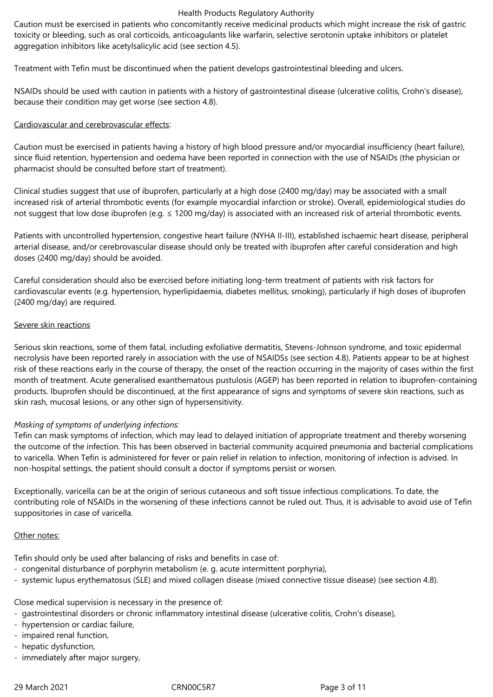Caution must be exercised in patients who concomitantly receive medicinal products which might increase the risk of gastric toxicity or bleeding, such as oral corticoids, anticoagulants like warfarin, selective serotonin uptake inhibitors or platelet aggregation inhibitors like acetylsalicylic acid (see section 4.5).

Treatment with Tefin must be discontinued when the patient develops gastrointestinal bleeding and ulcers.

NSAIDs should be used with caution in patients with a history of gastrointestinal disease (ulcerative colitis, Crohn's disease), because their condition may get worse (see section 4.8).

## Cardiovascular and cerebrovascular effects:

Caution must be exercised in patients having a history of high blood pressure and/or myocardial insufficiency (heart failure), since fluid retention, hypertension and oedema have been reported in connection with the use of NSAIDs (the physician or pharmacist should be consulted before start of treatment).

Clinical studies suggest that use of ibuprofen, particularly at a high dose (2400 mg/day) may be associated with a small increased risk of arterial thrombotic events (for example myocardial infarction or stroke). Overall, epidemiological studies do not suggest that low dose ibuprofen (e.g. ≤ 1200 mg/day) is associated with an increased risk of arterial thrombotic events.

Patients with uncontrolled hypertension, congestive heart failure (NYHA II-III), established ischaemic heart disease, peripheral arterial disease, and/or cerebrovascular disease should only be treated with ibuprofen after careful consideration and high doses (2400 mg/day) should be avoided.

Careful consideration should also be exercised before initiating long-term treatment of patients with risk factors for cardiovascular events (e.g. hypertension, hyperlipidaemia, diabetes mellitus, smoking), particularly if high doses of ibuprofen (2400 mg/day) are required.

# Severe skin reactions

Serious skin reactions, some of them fatal, including exfoliative dermatitis, Stevens-Johnson syndrome, and toxic epidermal necrolysis have been reported rarely in association with the use of NSAIDSs (see section 4.8). Patients appear to be at highest risk of these reactions early in the course of therapy, the onset of the reaction occurring in the majority of cases within the first month of treatment. Acute generalised exanthematous pustulosis (AGEP) has been reported in relation to ibuprofen-containing products. Ibuprofen should be discontinued, at the first appearance of signs and symptoms of severe skin reactions, such as skin rash, mucosal lesions, or any other sign of hypersensitivity.

# *Masking of symptoms of underlying infections:*

Tefin can mask symptoms of infection, which may lead to delayed initiation of appropriate treatment and thereby worsening the outcome of the infection. This has been observed in bacterial community acquired pneumonia and bacterial complications to varicella. When Tefin is administered for fever or pain relief in relation to infection, monitoring of infection is advised. In non-hospital settings, the patient should consult a doctor if symptoms persist or worsen.

Exceptionally, varicella can be at the origin of serious cutaneous and soft tissue infectious complications. To date, the contributing role of NSAIDs in the worsening of these infections cannot be ruled out. Thus, it is advisable to avoid use of Tefin suppositories in case of varicella.

# Other notes:

Tefin should only be used after balancing of risks and benefits in case of:

- congenital disturbance of porphyrin metabolism (e. g. acute intermittent porphyria),
- systemic lupus erythematosus (SLE) and mixed collagen disease (mixed connective tissue disease) (see section 4.8).

Close medical supervision is necessary in the presence of:

- gastrointestinal disorders or chronic inflammatory intestinal disease (ulcerative colitis, Crohn's disease),
- hypertension or cardiac failure,
- impaired renal function,
- hepatic dysfunction,
- immediately after major surgery,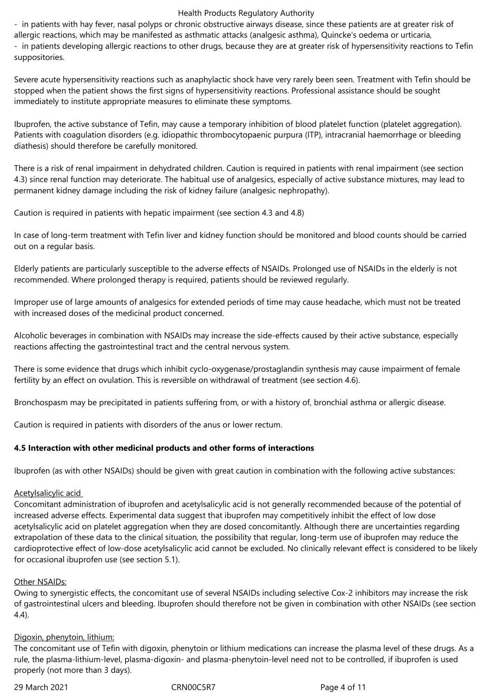- in patients with hay fever, nasal polyps or chronic obstructive airways disease, since these patients are at greater risk of allergic reactions, which may be manifested as asthmatic attacks (analgesic asthma), Quincke's oedema or urticaria, - in patients developing allergic reactions to other drugs, because they are at greater risk of hypersensitivity reactions to Tefin suppositories.

Severe acute hypersensitivity reactions such as anaphylactic shock have very rarely been seen. Treatment with Tefin should be stopped when the patient shows the first signs of hypersensitivity reactions. Professional assistance should be sought immediately to institute appropriate measures to eliminate these symptoms.

Ibuprofen, the active substance of Tefin, may cause a temporary inhibition of blood platelet function (platelet aggregation). Patients with coagulation disorders (e.g. idiopathic thrombocytopaenic purpura (ITP), intracranial haemorrhage or bleeding diathesis) should therefore be carefully monitored.

There is a risk of renal impairment in dehydrated children. Caution is required in patients with renal impairment (see section 4.3) since renal function may deteriorate. The habitual use of analgesics, especially of active substance mixtures, may lead to permanent kidney damage including the risk of kidney failure (analgesic nephropathy).

Caution is required in patients with hepatic impairment (see section 4.3 and 4.8)

In case of long-term treatment with Tefin liver and kidney function should be monitored and blood counts should be carried out on a regular basis.

Elderly patients are particularly susceptible to the adverse effects of NSAIDs. Prolonged use of NSAIDs in the elderly is not recommended. Where prolonged therapy is required, patients should be reviewed regularly.

Improper use of large amounts of analgesics for extended periods of time may cause headache, which must not be treated with increased doses of the medicinal product concerned.

Alcoholic beverages in combination with NSAIDs may increase the side-effects caused by their active substance, especially reactions affecting the gastrointestinal tract and the central nervous system.

There is some evidence that drugs which inhibit cyclo-oxygenase/prostaglandin synthesis may cause impairment of female fertility by an effect on ovulation. This is reversible on withdrawal of treatment (see section 4.6).

Bronchospasm may be precipitated in patients suffering from, or with a history of, bronchial asthma or allergic disease.

Caution is required in patients with disorders of the anus or lower rectum.

# **4.5 Interaction with other medicinal products and other forms of interactions**

Ibuprofen (as with other NSAIDs) should be given with great caution in combination with the following active substances:

#### Acetylsalicylic acid

Concomitant administration of ibuprofen and acetylsalicylic acid is not generally recommended because of the potential of increased adverse effects. Experimental data suggest that ibuprofen may competitively inhibit the effect of low dose acetylsalicylic acid on platelet aggregation when they are dosed concomitantly. Although there are uncertainties regarding extrapolation of these data to the clinical situation, the possibility that regular, long-term use of ibuprofen may reduce the cardioprotective effect of low-dose acetylsalicylic acid cannot be excluded. No clinically relevant effect is considered to be likely for occasional ibuprofen use (see section 5.1).

#### Other NSAIDs:

Owing to synergistic effects, the concomitant use of several NSAIDs including selective Cox-2 inhibitors may increase the risk of gastrointestinal ulcers and bleeding. Ibuprofen should therefore not be given in combination with other NSAIDs (see section 4.4).

#### Digoxin, phenytoin, lithium:

The concomitant use of Tefin with digoxin, phenytoin or lithium medications can increase the plasma level of these drugs. As a rule, the plasma-lithium-level, plasma-digoxin- and plasma-phenytoin-level need not to be controlled, if ibuprofen is used properly (not more than 3 days).

29 March 2021 **CRNOOC5R7** Page 4 of 11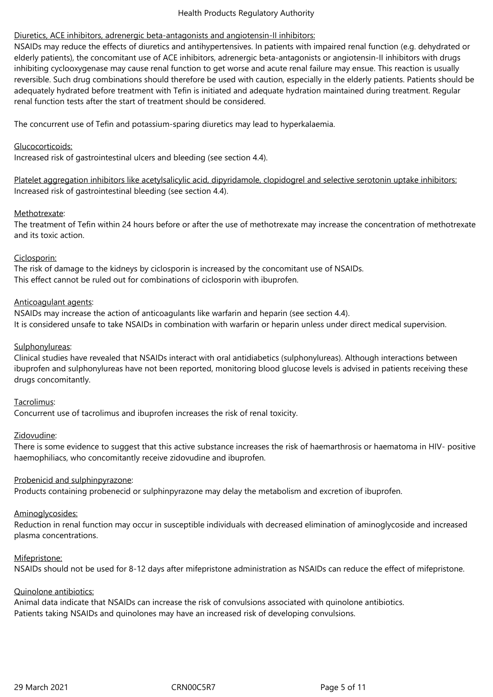# Diuretics, ACE inhibitors, adrenergic beta-antagonists and angiotensin-II inhibitors:

NSAIDs may reduce the effects of diuretics and antihypertensives. In patients with impaired renal function (e.g. dehydrated or elderly patients), the concomitant use of ACE inhibitors, adrenergic beta-antagonists or angiotensin-II inhibitors with drugs inhibiting cyclooxygenase may cause renal function to get worse and acute renal failure may ensue. This reaction is usually reversible. Such drug combinations should therefore be used with caution, especially in the elderly patients. Patients should be adequately hydrated before treatment with Tefin is initiated and adequate hydration maintained during treatment. Regular renal function tests after the start of treatment should be considered.

The concurrent use of Tefin and potassium-sparing diuretics may lead to hyperkalaemia.

## Glucocorticoids:

Increased risk of gastrointestinal ulcers and bleeding (see section 4.4).

Platelet aggregation inhibitors like acetylsalicylic acid, dipyridamole, clopidogrel and selective serotonin uptake inhibitors: Increased risk of gastrointestinal bleeding (see section 4.4).

# Methotrexate:

The treatment of Tefin within 24 hours before or after the use of methotrexate may increase the concentration of methotrexate and its toxic action.

# Ciclosporin:

The risk of damage to the kidneys by ciclosporin is increased by the concomitant use of NSAIDs. This effect cannot be ruled out for combinations of ciclosporin with ibuprofen.

#### Anticoagulant agents:

NSAIDs may increase the action of anticoagulants like warfarin and heparin (see section 4.4). It is considered unsafe to take NSAIDs in combination with warfarin or heparin unless under direct medical supervision.

## Sulphonylureas:

Clinical studies have revealed that NSAIDs interact with oral antidiabetics (sulphonylureas). Although interactions between ibuprofen and sulphonylureas have not been reported, monitoring blood glucose levels is advised in patients receiving these drugs concomitantly.

#### Tacrolimus:

Concurrent use of tacrolimus and ibuprofen increases the risk of renal toxicity.

#### Zidovudine:

There is some evidence to suggest that this active substance increases the risk of haemarthrosis or haematoma in HIV- positive haemophiliacs, who concomitantly receive zidovudine and ibuprofen.

#### Probenicid and sulphinpyrazone:

Products containing probenecid or sulphinpyrazone may delay the metabolism and excretion of ibuprofen.

#### Aminoglycosides:

Reduction in renal function may occur in susceptible individuals with decreased elimination of aminoglycoside and increased plasma concentrations.

#### Mifepristone:

NSAIDs should not be used for 8-12 days after mifepristone administration as NSAIDs can reduce the effect of mifepristone.

#### Quinolone antibiotics:

Animal data indicate that NSAIDs can increase the risk of convulsions associated with quinolone antibiotics. Patients taking NSAIDs and quinolones may have an increased risk of developing convulsions.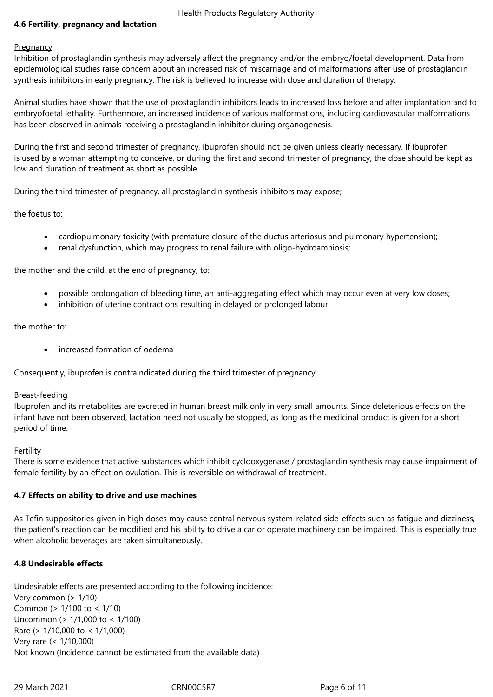# **4.6 Fertility, pregnancy and lactation**

#### **Pregnancy**

Inhibition of prostaglandin synthesis may adversely affect the pregnancy and/or the embryo/foetal development. Data from epidemiological studies raise concern about an increased risk of miscarriage and of malformations after use of prostaglandin synthesis inhibitors in early pregnancy. The risk is believed to increase with dose and duration of therapy.

Animal studies have shown that the use of prostaglandin inhibitors leads to increased loss before and after implantation and to embryofoetal lethality. Furthermore, an increased incidence of various malformations, including cardiovascular malformations has been observed in animals receiving a prostaglandin inhibitor during organogenesis.

During the first and second trimester of pregnancy, ibuprofen should not be given unless clearly necessary. If ibuprofen is used by a woman attempting to conceive, or during the first and second trimester of pregnancy, the dose should be kept as low and duration of treatment as short as possible.

During the third trimester of pregnancy, all prostaglandin synthesis inhibitors may expose;

the foetus to:

- cardiopulmonary toxicity (with premature closure of the ductus arteriosus and pulmonary hypertension);
- renal dysfunction, which may progress to renal failure with oligo-hydroamniosis;

the mother and the child, at the end of pregnancy, to:

- possible prolongation of bleeding time, an anti-aggregating effect which may occur even at very low doses;
- inhibition of uterine contractions resulting in delayed or prolonged labour.

the mother to:

increased formation of oedema

Consequently, ibuprofen is contraindicated during the third trimester of pregnancy.

#### Breast-feeding

Ibuprofen and its metabolites are excreted in human breast milk only in very small amounts. Since deleterious effects on the infant have not been observed, lactation need not usually be stopped, as long as the medicinal product is given for a short period of time.

#### Fertility

There is some evidence that active substances which inhibit cyclooxygenase / prostaglandin synthesis may cause impairment of female fertility by an effect on ovulation. This is reversible on withdrawal of treatment.

#### **4.7 Effects on ability to drive and use machines**

As Tefin suppositories given in high doses may cause central nervous system-related side-effects such as fatigue and dizziness, the patient's reaction can be modified and his ability to drive a car or operate machinery can be impaired. This is especially true when alcoholic beverages are taken simultaneously.

#### **4.8 Undesirable effects**

Undesirable effects are presented according to the following incidence: Very common (> 1/10) Common (> 1/100 to < 1/10) Uncommon (> 1/1,000 to < 1/100) Rare (> 1/10,000 to < 1/1,000) Very rare (< 1/10,000) Not known (Incidence cannot be estimated from the available data)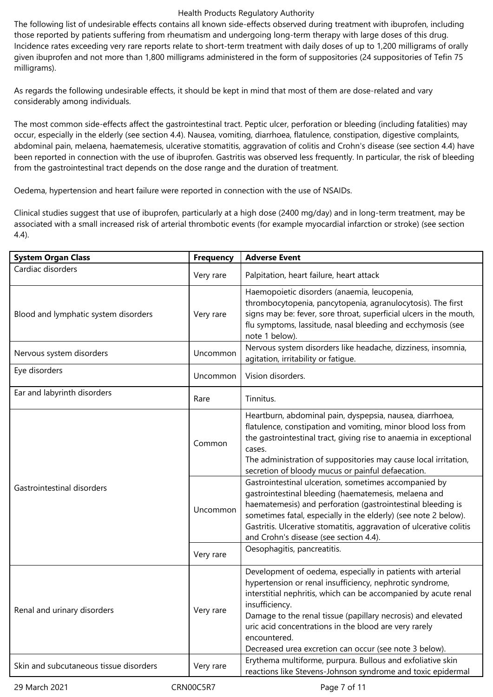The following list of undesirable effects contains all known side-effects observed during treatment with ibuprofen, including those reported by patients suffering from rheumatism and undergoing long-term therapy with large doses of this drug. Incidence rates exceeding very rare reports relate to short-term treatment with daily doses of up to 1,200 milligrams of orally given ibuprofen and not more than 1,800 milligrams administered in the form of suppositories (24 suppositories of Tefin 75 milligrams).

As regards the following undesirable effects, it should be kept in mind that most of them are dose-related and vary considerably among individuals.

The most common side-effects affect the gastrointestinal tract. Peptic ulcer, perforation or bleeding (including fatalities) may occur, especially in the elderly (see section 4.4). Nausea, vomiting, diarrhoea, flatulence, constipation, digestive complaints, abdominal pain, melaena, haematemesis, ulcerative stomatitis, aggravation of colitis and Crohn's disease (see section 4.4) have been reported in connection with the use of ibuprofen. Gastritis was observed less frequently. In particular, the risk of bleeding from the gastrointestinal tract depends on the dose range and the duration of treatment.

Oedema, hypertension and heart failure were reported in connection with the use of NSAIDs.

Clinical studies suggest that use of ibuprofen, particularly at a high dose (2400 mg/day) and in long-term treatment, may be associated with a small increased risk of arterial thrombotic events (for example myocardial infarction or stroke) (see section 4.4).

| <b>System Organ Class</b>              | <b>Frequency</b> | <b>Adverse Event</b>                                                                                                                                                                                                                                                                                                                                                                                            |
|----------------------------------------|------------------|-----------------------------------------------------------------------------------------------------------------------------------------------------------------------------------------------------------------------------------------------------------------------------------------------------------------------------------------------------------------------------------------------------------------|
| Cardiac disorders                      | Very rare        | Palpitation, heart failure, heart attack                                                                                                                                                                                                                                                                                                                                                                        |
| Blood and lymphatic system disorders   | Very rare        | Haemopoietic disorders (anaemia, leucopenia,<br>thrombocytopenia, pancytopenia, agranulocytosis). The first<br>signs may be: fever, sore throat, superficial ulcers in the mouth,<br>flu symptoms, lassitude, nasal bleeding and ecchymosis (see<br>note 1 below).                                                                                                                                              |
| Nervous system disorders               | Uncommon         | Nervous system disorders like headache, dizziness, insomnia,<br>agitation, irritability or fatigue.                                                                                                                                                                                                                                                                                                             |
| Eye disorders                          | Uncommon         | Vision disorders.                                                                                                                                                                                                                                                                                                                                                                                               |
| Ear and labyrinth disorders            | Rare             | Tinnitus.                                                                                                                                                                                                                                                                                                                                                                                                       |
| Gastrointestinal disorders             | Common           | Heartburn, abdominal pain, dyspepsia, nausea, diarrhoea,<br>flatulence, constipation and vomiting, minor blood loss from<br>the gastrointestinal tract, giving rise to anaemia in exceptional<br>cases.<br>The administration of suppositories may cause local irritation,<br>secretion of bloody mucus or painful defaecation.                                                                                 |
|                                        | Uncommon         | Gastrointestinal ulceration, sometimes accompanied by<br>gastrointestinal bleeding (haematemesis, melaena and<br>haematemesis) and perforation (gastrointestinal bleeding is<br>sometimes fatal, especially in the elderly) (see note 2 below).<br>Gastritis. Ulcerative stomatitis, aggravation of ulcerative colitis<br>and Crohn's disease (see section 4.4).                                                |
|                                        | Very rare        | Oesophagitis, pancreatitis.                                                                                                                                                                                                                                                                                                                                                                                     |
| Renal and urinary disorders            | Very rare        | Development of oedema, especially in patients with arterial<br>hypertension or renal insufficiency, nephrotic syndrome,<br>interstitial nephritis, which can be accompanied by acute renal<br>insufficiency.<br>Damage to the renal tissue (papillary necrosis) and elevated<br>uric acid concentrations in the blood are very rarely<br>encountered.<br>Decreased urea excretion can occur (see note 3 below). |
| Skin and subcutaneous tissue disorders | Very rare        | Erythema multiforme, purpura. Bullous and exfoliative skin<br>reactions like Stevens-Johnson syndrome and toxic epidermal                                                                                                                                                                                                                                                                                       |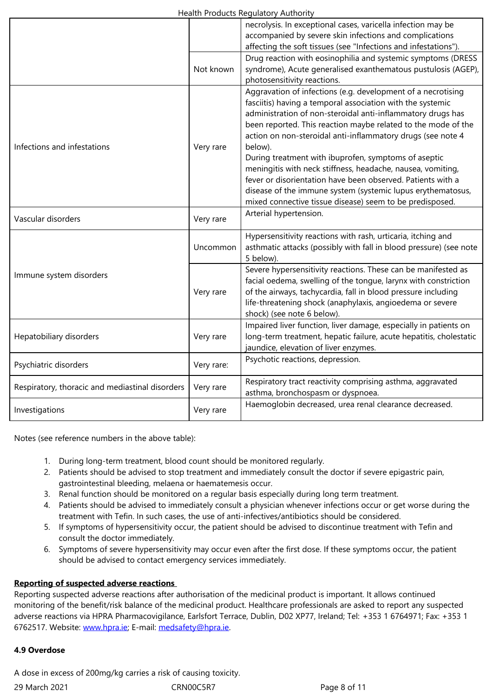|                                                 |            | affecting the soft tissues (see "Infections and infestations").                                                                                                                                                                                                                                                                                                                                                                                                                                                                                                                           |
|-------------------------------------------------|------------|-------------------------------------------------------------------------------------------------------------------------------------------------------------------------------------------------------------------------------------------------------------------------------------------------------------------------------------------------------------------------------------------------------------------------------------------------------------------------------------------------------------------------------------------------------------------------------------------|
|                                                 | Not known  | Drug reaction with eosinophilia and systemic symptoms (DRESS<br>syndrome), Acute generalised exanthematous pustulosis (AGEP),                                                                                                                                                                                                                                                                                                                                                                                                                                                             |
|                                                 |            | photosensitivity reactions.                                                                                                                                                                                                                                                                                                                                                                                                                                                                                                                                                               |
| Infections and infestations                     | Very rare  | Aggravation of infections (e.g. development of a necrotising<br>fasciitis) having a temporal association with the systemic<br>administration of non-steroidal anti-inflammatory drugs has<br>been reported. This reaction maybe related to the mode of the<br>action on non-steroidal anti-inflammatory drugs (see note 4<br>below).<br>During treatment with ibuprofen, symptoms of aseptic<br>meningitis with neck stiffness, headache, nausea, vomiting,<br>fever or disorientation have been observed. Patients with a<br>disease of the immune system (systemic lupus erythematosus, |
|                                                 |            | mixed connective tissue disease) seem to be predisposed.                                                                                                                                                                                                                                                                                                                                                                                                                                                                                                                                  |
| Vascular disorders                              | Very rare  | Arterial hypertension.                                                                                                                                                                                                                                                                                                                                                                                                                                                                                                                                                                    |
|                                                 | Uncommon   | Hypersensitivity reactions with rash, urticaria, itching and<br>asthmatic attacks (possibly with fall in blood pressure) (see note<br>5 below).                                                                                                                                                                                                                                                                                                                                                                                                                                           |
| Immune system disorders                         | Very rare  | Severe hypersensitivity reactions. These can be manifested as<br>facial oedema, swelling of the tongue, larynx with constriction<br>of the airways, tachycardia, fall in blood pressure including<br>life-threatening shock (anaphylaxis, angioedema or severe<br>shock) (see note 6 below).                                                                                                                                                                                                                                                                                              |
| Hepatobiliary disorders                         | Very rare  | Impaired liver function, liver damage, especially in patients on<br>long-term treatment, hepatic failure, acute hepatitis, cholestatic<br>jaundice, elevation of liver enzymes.                                                                                                                                                                                                                                                                                                                                                                                                           |
| Psychiatric disorders                           | Very rare: | Psychotic reactions, depression.                                                                                                                                                                                                                                                                                                                                                                                                                                                                                                                                                          |
| Respiratory, thoracic and mediastinal disorders | Very rare  | Respiratory tract reactivity comprising asthma, aggravated<br>asthma, bronchospasm or dyspnoea.                                                                                                                                                                                                                                                                                                                                                                                                                                                                                           |
|                                                 |            | Haemoglobin decreased, urea renal clearance decreased.                                                                                                                                                                                                                                                                                                                                                                                                                                                                                                                                    |

Notes (see reference numbers in the above table):

- 1. During long-term treatment, blood count should be monitored regularly.
- 2. Patients should be advised to stop treatment and immediately consult the doctor if severe epigastric pain, gastrointestinal bleeding, melaena or haematemesis occur.
- 3. Renal function should be monitored on a regular basis especially during long term treatment.
- 4. Patients should be advised to immediately consult a physician whenever infections occur or get worse during the treatment with Tefin. In such cases, the use of anti-infectives/antibiotics should be considered.
- 5. If symptoms of hypersensitivity occur, the patient should be advised to discontinue treatment with Tefin and consult the doctor immediately.
- 6. Symptoms of severe hypersensitivity may occur even after the first dose. If these symptoms occur, the patient should be advised to contact emergency services immediately.

# **Reporting of suspected adverse reactions**

Reporting suspected adverse reactions after authorisation of the medicinal product is important. It allows continued monitoring of the benefit/risk balance of the medicinal product. Healthcare professionals are asked to report any suspected adverse reactions via HPRA Pharmacovigilance, Earlsfort Terrace, Dublin, D02 XP77, Ireland; Tel: +353 1 6764971; Fax: +353 1 6762517. Website: www.hpra.ie; E-mail: medsafety@hpra.ie.

# **4.9 Overdose**

A dose in excess o[f 200mg/kg c](http://www.hpra.ie/)arries a [risk of causing toxic](mailto:medsafety@hpra.ie)ity.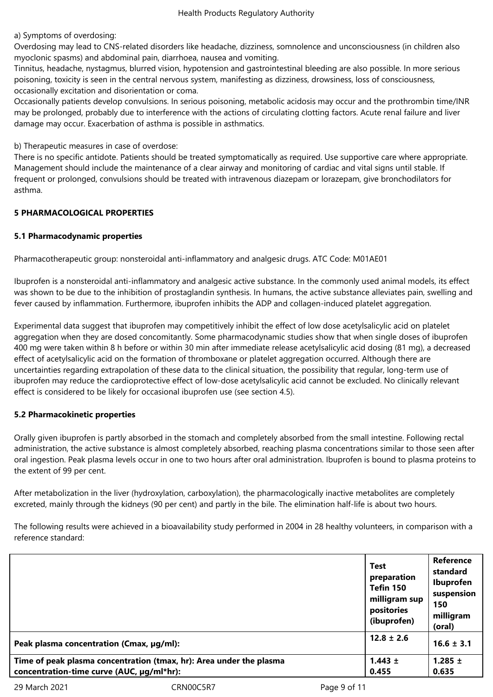# a) Symptoms of overdosing:

Overdosing may lead to CNS-related disorders like headache, dizziness, somnolence and unconsciousness (in children also myoclonic spasms) and abdominal pain, diarrhoea, nausea and vomiting.

Tinnitus, headache, nystagmus, blurred vision, hypotension and gastrointestinal bleeding are also possible. In more serious poisoning, toxicity is seen in the central nervous system, manifesting as dizziness, drowsiness, loss of consciousness, occasionally excitation and disorientation or coma.

Occasionally patients develop convulsions. In serious poisoning, metabolic acidosis may occur and the prothrombin time/INR may be prolonged, probably due to interference with the actions of circulating clotting factors. Acute renal failure and liver damage may occur. Exacerbation of asthma is possible in asthmatics.

b) Therapeutic measures in case of overdose:

There is no specific antidote. Patients should be treated symptomatically as required. Use supportive care where appropriate. Management should include the maintenance of a clear airway and monitoring of cardiac and vital signs until stable. If frequent or prolonged, convulsions should be treated with intravenous diazepam or lorazepam, give bronchodilators for asthma.

# **5 PHARMACOLOGICAL PROPERTIES**

# **5.1 Pharmacodynamic properties**

Pharmacotherapeutic group: nonsteroidal anti-inflammatory and analgesic drugs. ATC Code: M01AE01

Ibuprofen is a nonsteroidal anti-inflammatory and analgesic active substance. In the commonly used animal models, its effect was shown to be due to the inhibition of prostaglandin synthesis. In humans, the active substance alleviates pain, swelling and fever caused by inflammation. Furthermore, ibuprofen inhibits the ADP and collagen-induced platelet aggregation.

Experimental data suggest that ibuprofen may competitively inhibit the effect of low dose acetylsalicylic acid on platelet aggregation when they are dosed concomitantly. Some pharmacodynamic studies show that when single doses of ibuprofen 400 mg were taken within 8 h before or within 30 min after immediate release acetylsalicylic acid dosing (81 mg), a decreased effect of acetylsalicylic acid on the formation of thromboxane or platelet aggregation occurred. Although there are uncertainties regarding extrapolation of these data to the clinical situation, the possibility that regular, long-term use of ibuprofen may reduce the cardioprotective effect of low-dose acetylsalicylic acid cannot be excluded. No clinically relevant effect is considered to be likely for occasional ibuprofen use (see section 4.5).

#### **5.2 Pharmacokinetic properties**

Orally given ibuprofen is partly absorbed in the stomach and completely absorbed from the small intestine. Following rectal administration, the active substance is almost completely absorbed, reaching plasma concentrations similar to those seen after oral ingestion. Peak plasma levels occur in one to two hours after oral administration. Ibuprofen is bound to plasma proteins to the extent of 99 per cent.

After metabolization in the liver (hydroxylation, carboxylation), the pharmacologically inactive metabolites are completely excreted, mainly through the kidneys (90 per cent) and partly in the bile. The elimination half-life is about two hours.

The following results were achieved in a bioavailability study performed in 2004 in 28 healthy volunteers, in comparison with a reference standard:

|                                                                     | <b>Test</b><br>preparation<br>Tefin 150<br>milligram sup<br>positories<br>(ibuprofen) | <b>Reference</b><br>standard<br><b>Ibuprofen</b><br>suspension<br>150<br>milligram<br>(oral) |
|---------------------------------------------------------------------|---------------------------------------------------------------------------------------|----------------------------------------------------------------------------------------------|
| Peak plasma concentration (Cmax, µg/ml):                            | $12.8 \pm 2.6$                                                                        | $16.6 \pm 3.1$                                                                               |
| Time of peak plasma concentration (tmax, hr): Area under the plasma | 1.443 $\pm$                                                                           | 1.285 $\pm$                                                                                  |
| concentration-time curve (AUC, µg/ml*hr):                           | 0.455                                                                                 | 0.635                                                                                        |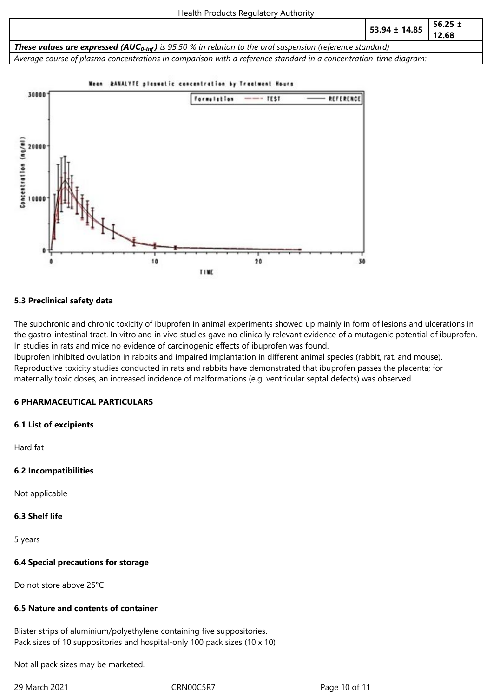|  | $153.94 \pm 14.85$ | $56.25 \pm$ |  |
|--|--------------------|-------------|--|
|  |                    | 12.68       |  |

*These values are expressed (AUC0-inf ) is 95.50 % in relation to the oral suspension (reference standard) Average course of plasma concentrations in comparison with a reference standard in a concentration-time diagram:*

**BANALYTE plasmatic concentration by Treatment Hours Mean** 30000 REFERENCE **Formaletion** TEST Concentration (ng/ml) 20000  $\ddot{\phantom{a}}$ 20 **KA** TIME

#### **5.3 Preclinical safety data**

The subchronic and chronic toxicity of ibuprofen in animal experiments showed up mainly in form of lesions and ulcerations in the gastro-intestinal tract. In vitro and in vivo studies gave no clinically relevant evidence of a mutagenic potential of ibuprofen. In studies in rats and mice no evidence of carcinogenic effects of ibuprofen was found.

Ibuprofen inhibited ovulation in rabbits and impaired implantation in different animal species (rabbit, rat, and mouse). Reproductive toxicity studies conducted in rats and rabbits have demonstrated that ibuprofen passes the placenta; for maternally toxic doses, an increased incidence of malformations (e.g. ventricular septal defects) was observed.

#### **6 PHARMACEUTICAL PARTICULARS**

#### **6.1 List of excipients**

Hard fat

#### **6.2 Incompatibilities**

Not applicable

#### **6.3 Shelf life**

5 years

#### **6.4 Special precautions for storage**

Do not store above 25°C

#### **6.5 Nature and contents of container**

Blister strips of aluminium/polyethylene containing five suppositories. Pack sizes of 10 suppositories and hospital-only 100 pack sizes (10 x 10)

Not all pack sizes may be marketed.

29 March 2021 CRN00C5R7 Page 10 of 11